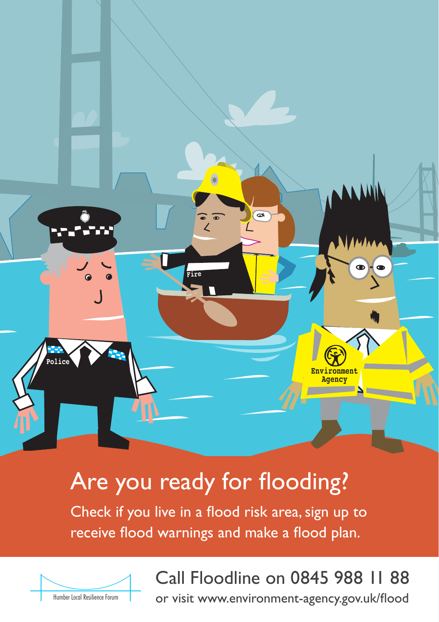

# Are you ready for flooding?

Check if you live in a flood risk area, sign up to receive flood warnings and make a flood plan.



# Call Floodline on 0845 988 11 88

or visit www.environment-agency.gov.uk/flood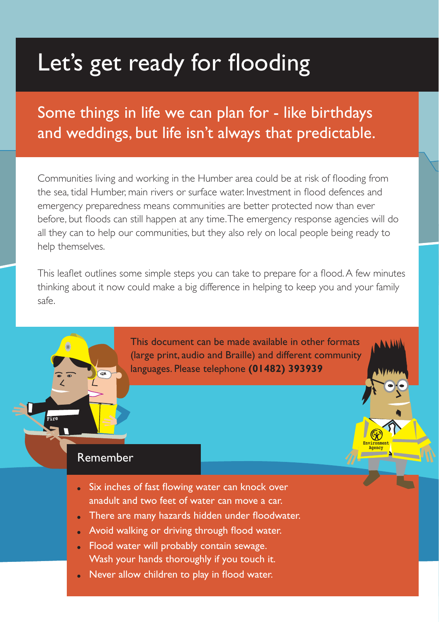# Let's get ready for flooding

# Some things in life we can plan for - like birthdays and weddings, but life isn't always that predictable.

Communities living and working in the Humber area could be at risk of flooding from the sea, tidal Humber, main rivers or surface water. Investment in flood defences and emergency preparedness means communities are better protected now than ever before, but floods can still happen at any time. The emergency response agencies will do all they can to help our communities, but they also rely on local people being ready to help themselves.

This leaflet outlines some simple steps you can take to prepare for a flood. A few minutes thinking about it now could make a big difference in helping to keep you and your family safe.

> This document can be made available in other formats (large print, audio and Braille) and different community languages. Please telephone **(01482) 393939**

> > **Environment Agency**

## Remember

**Fire**

- Six inches of fast flowing water can knock over anadult and two feet of water can move a car.
- There are many hazards hidden under floodwater.
- Avoid walking or driving through flood water.
- Flood water will probably contain sewage. Wash your hands thoroughly if you touch it.
- Never allow children to play in flood water.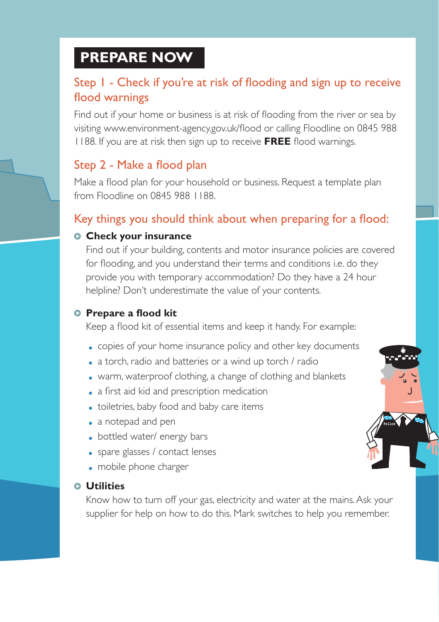# **PREPARE NOW**

# Step 1 - Check if you're at risk of flooding and sign up to receive flood warnings

Find out if your home or business is at risk of flooding from the river or sea by visiting www.environment-agency.gov.uk/flood or calling Floodline on 0845 988 1188. If you are at risk then sign up to receive **FREE** flood warnings.

# Step 2 - Make a flood plan

Make a flood plan for your household or business. Request a template plan from Floodline on 0845 988 1188.

# Key things you should think about when preparing for a flood:

### **Check your insurance**

Find out if your building, contents and motor insurance policies are covered for flooding, and you understand their terms and conditions i.e. do they provide you with temporary accommodation? Do they have a 24 hour helpline? Don't underestimate the value of your contents.

### **Prepare a flood kit**

Keep a flood kit of essential items and keep it handy. For example:

- copies of your home insurance policy and other key documents
- a torch, radio and batteries or a wind up torch / radio
- warm, waterproof clothing, a change of clothing and blankets
- a first aid kid and prescription medication
- toiletries, baby food and baby care items
- a notepad and pen
- bottled water/ energy bars
- spare glasses / contact lenses
- mobile phone charger

#### **Utilities**

Know how to turn off your gas, electricity and water at the mains. Ask your supplier for help on how to do this. Mark switches to help you remember.